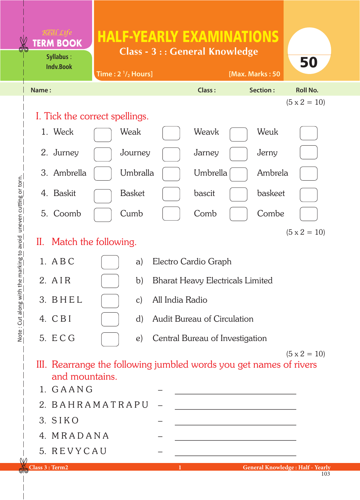## HALF-YEARLY EXAMINATIONS

**Class - 3 : : General Knowledge**



## Note: Cut along with the marking to avoid uneven cutting or torn. Note : Cut along with the marking to avoid uneven cutting or torn.

**Syllabus** :

**TERM BOOK**